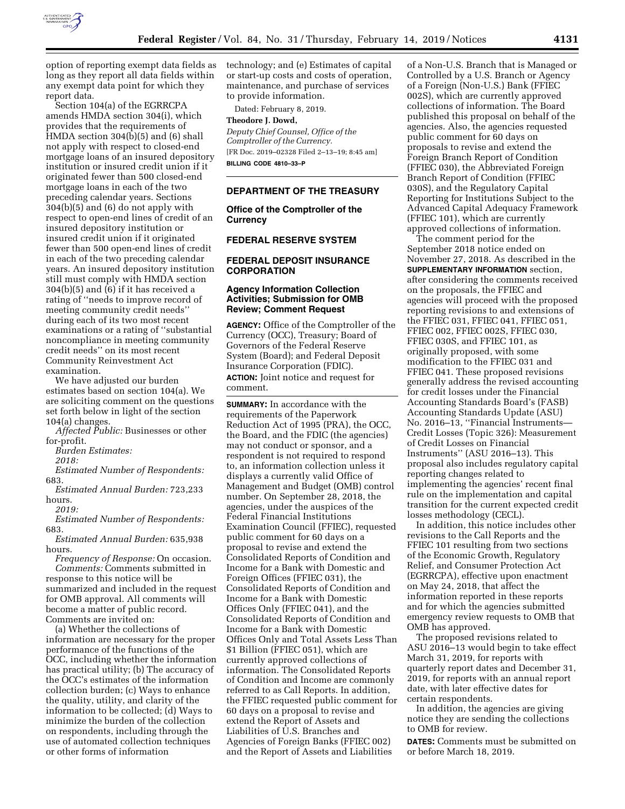

option of reporting exempt data fields as long as they report all data fields within any exempt data point for which they report data.

Section 104(a) of the EGRRCPA amends HMDA section 304(i), which provides that the requirements of HMDA section 304(b)(5) and (6) shall not apply with respect to closed-end mortgage loans of an insured depository institution or insured credit union if it originated fewer than 500 closed-end mortgage loans in each of the two preceding calendar years. Sections 304(b)(5) and (6) do not apply with respect to open-end lines of credit of an insured depository institution or insured credit union if it originated fewer than 500 open-end lines of credit in each of the two preceding calendar years. An insured depository institution still must comply with HMDA section 304(b)(5) and (6) if it has received a rating of ''needs to improve record of meeting community credit needs'' during each of its two most recent examinations or a rating of ''substantial noncompliance in meeting community credit needs'' on its most recent Community Reinvestment Act examination.

We have adjusted our burden estimates based on section 104(a). We are soliciting comment on the questions set forth below in light of the section 104(a) changes.

*Affected Public:* Businesses or other for-profit.

*Burden Estimates:* 

*2018:* 

*Estimated Number of Respondents:*  683.

*Estimated Annual Burden:* 723,233 hours.

*2019:* 

*Estimated Number of Respondents:*  683.

*Estimated Annual Burden:* 635,938 hours.

*Frequency of Response:* On occasion. *Comments:* Comments submitted in response to this notice will be summarized and included in the request for OMB approval. All comments will become a matter of public record. Comments are invited on:

(a) Whether the collections of information are necessary for the proper performance of the functions of the OCC, including whether the information has practical utility; (b) The accuracy of the OCC's estimates of the information collection burden; (c) Ways to enhance the quality, utility, and clarity of the information to be collected; (d) Ways to minimize the burden of the collection on respondents, including through the use of automated collection techniques or other forms of information

technology; and (e) Estimates of capital or start-up costs and costs of operation, maintenance, and purchase of services to provide information.

Dated: February 8, 2019.

#### **Theodore J. Dowd,**

*Deputy Chief Counsel, Office of the Comptroller of the Currency.*  [FR Doc. 2019–02328 Filed 2–13–19; 8:45 am] **BILLING CODE 4810–33–P** 

### **DEPARTMENT OF THE TREASURY**

**Office of the Comptroller of the Currency** 

# **FEDERAL RESERVE SYSTEM**

## **FEDERAL DEPOSIT INSURANCE CORPORATION**

## **Agency Information Collection Activities; Submission for OMB Review; Comment Request**

**AGENCY:** Office of the Comptroller of the Currency (OCC), Treasury; Board of Governors of the Federal Reserve System (Board); and Federal Deposit Insurance Corporation (FDIC). **ACTION:** Joint notice and request for comment.

**SUMMARY:** In accordance with the requirements of the Paperwork Reduction Act of 1995 (PRA), the OCC, the Board, and the FDIC (the agencies) may not conduct or sponsor, and a respondent is not required to respond to, an information collection unless it displays a currently valid Office of Management and Budget (OMB) control number. On September 28, 2018, the agencies, under the auspices of the Federal Financial Institutions Examination Council (FFIEC), requested public comment for 60 days on a proposal to revise and extend the Consolidated Reports of Condition and Income for a Bank with Domestic and Foreign Offices (FFIEC 031), the Consolidated Reports of Condition and Income for a Bank with Domestic Offices Only (FFIEC 041), and the Consolidated Reports of Condition and Income for a Bank with Domestic Offices Only and Total Assets Less Than \$1 Billion (FFIEC 051), which are currently approved collections of information. The Consolidated Reports of Condition and Income are commonly referred to as Call Reports. In addition, the FFIEC requested public comment for 60 days on a proposal to revise and extend the Report of Assets and Liabilities of U.S. Branches and Agencies of Foreign Banks (FFIEC 002) and the Report of Assets and Liabilities

of a Non-U.S. Branch that is Managed or Controlled by a U.S. Branch or Agency of a Foreign (Non-U.S.) Bank (FFIEC 002S), which are currently approved collections of information. The Board published this proposal on behalf of the agencies. Also, the agencies requested public comment for 60 days on proposals to revise and extend the Foreign Branch Report of Condition (FFIEC 030), the Abbreviated Foreign Branch Report of Condition (FFIEC 030S), and the Regulatory Capital Reporting for Institutions Subject to the Advanced Capital Adequacy Framework (FFIEC 101), which are currently approved collections of information.

The comment period for the September 2018 notice ended on November 27, 2018. As described in the **SUPPLEMENTARY INFORMATION** section, after considering the comments received on the proposals, the FFIEC and agencies will proceed with the proposed reporting revisions to and extensions of the FFIEC 031, FFIEC 041, FFIEC 051, FFIEC 002, FFIEC 002S, FFIEC 030, FFIEC 030S, and FFIEC 101, as originally proposed, with some modification to the FFIEC 031 and FFIEC 041. These proposed revisions generally address the revised accounting for credit losses under the Financial Accounting Standards Board's (FASB) Accounting Standards Update (ASU) No. 2016–13, ''Financial Instruments— Credit Losses (Topic 326): Measurement of Credit Losses on Financial Instruments'' (ASU 2016–13). This proposal also includes regulatory capital reporting changes related to implementing the agencies' recent final rule on the implementation and capital transition for the current expected credit losses methodology (CECL).

In addition, this notice includes other revisions to the Call Reports and the FFIEC 101 resulting from two sections of the Economic Growth, Regulatory Relief, and Consumer Protection Act (EGRRCPA), effective upon enactment on May 24, 2018, that affect the information reported in these reports and for which the agencies submitted emergency review requests to OMB that OMB has approved.

The proposed revisions related to ASU 2016–13 would begin to take effect March 31, 2019, for reports with quarterly report dates and December 31, 2019, for reports with an annual report date, with later effective dates for certain respondents.

In addition, the agencies are giving notice they are sending the collections to OMB for review.

**DATES:** Comments must be submitted on or before March 18, 2019.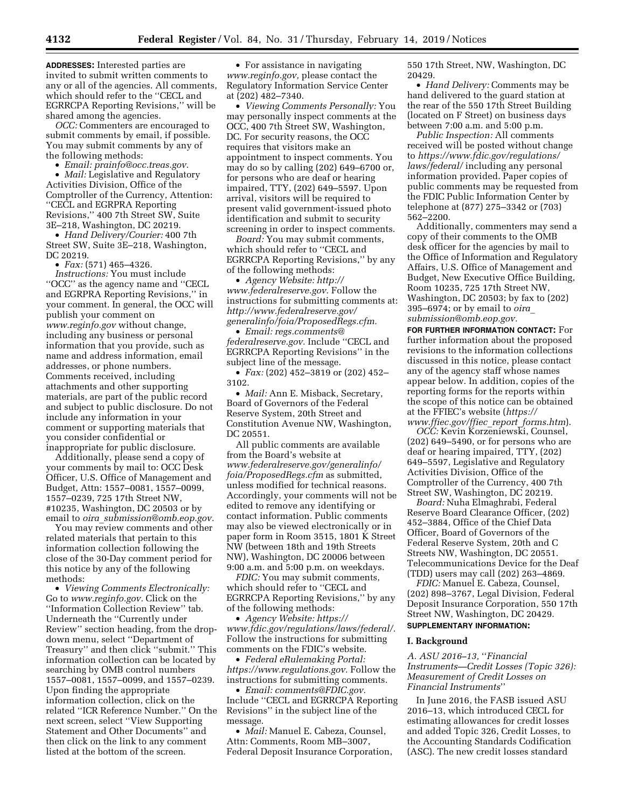**ADDRESSES:** Interested parties are invited to submit written comments to any or all of the agencies. All comments, which should refer to the ''CECL and EGRRCPA Reporting Revisions,'' will be shared among the agencies.

*OCC:* Commenters are encouraged to submit comments by email, if possible. You may submit comments by any of the following methods:

• *Email: [prainfo@occ.treas.gov.](mailto:prainfo@occ.treas.gov)* 

• *Mail:* Legislative and Regulatory Activities Division, Office of the Comptroller of the Currency, Attention: ''CECL and EGRPRA Reporting Revisions,'' 400 7th Street SW, Suite 3E–218, Washington, DC 20219.

• *Hand Delivery/Courier:* 400 7th Street SW, Suite 3E–218, Washington, DC 20219.

• *Fax:* (571) 465–4326.

*Instructions:* You must include ''OCC'' as the agency name and ''CECL and EGRPRA Reporting Revisions,'' in your comment. In general, the OCC will publish your comment on *[www.reginfo.gov](http://www.reginfo.gov)* without change, including any business or personal information that you provide, such as name and address information, email addresses, or phone numbers. Comments received, including attachments and other supporting materials, are part of the public record and subject to public disclosure. Do not include any information in your comment or supporting materials that you consider confidential or inappropriate for public disclosure.

Additionally, please send a copy of your comments by mail to: OCC Desk Officer, U.S. Office of Management and Budget, Attn: 1557–0081, 1557–0099, 1557–0239, 725 17th Street NW, #10235, Washington, DC 20503 or by email to *oira*\_*[submission@omb.eop.gov.](mailto:oira_submission@omb.eop.gov)* 

You may review comments and other related materials that pertain to this information collection following the close of the 30-Day comment period for this notice by any of the following methods:

• *Viewing Comments Electronically:*  Go to *[www.reginfo.gov.](http://www.reginfo.gov)* Click on the ''Information Collection Review'' tab. Underneath the ''Currently under Review'' section heading, from the dropdown menu, select ''Department of Treasury'' and then click ''submit.'' This information collection can be located by searching by OMB control numbers 1557–0081, 1557–0099, and 1557–0239. Upon finding the appropriate information collection, click on the related ''ICR Reference Number.'' On the next screen, select ''View Supporting Statement and Other Documents'' and then click on the link to any comment listed at the bottom of the screen.

• For assistance in navigating *[www.reginfo.gov,](http://www.reginfo.gov)* please contact the Regulatory Information Service Center at (202) 482–7340.

• *Viewing Comments Personally:* You may personally inspect comments at the OCC, 400 7th Street SW, Washington, DC. For security reasons, the OCC requires that visitors make an appointment to inspect comments. You may do so by calling (202) 649–6700 or, for persons who are deaf or hearing impaired, TTY, (202) 649–5597. Upon arrival, visitors will be required to present valid government-issued photo identification and submit to security screening in order to inspect comments.

*Board:* You may submit comments, which should refer to ''CECL and EGRRCPA Reporting Revisions,'' by any of the following methods:

• *Agency Website: [http://](http://www.federalreserve.gov) [www.federalreserve.gov.](http://www.federalreserve.gov)* Follow the instructions for submitting comments at: *[http://www.federalreserve.gov/](http://www.federalreserve.gov/generalinfo/foia/ProposedRegs.cfm)  [generalinfo/foia/ProposedRegs.cfm.](http://www.federalreserve.gov/generalinfo/foia/ProposedRegs.cfm)* 

• *Email: [regs.comments@](mailto:regs.comments@federalreserve.gov) [federalreserve.gov.](mailto:regs.comments@federalreserve.gov)* Include ''CECL and EGRRCPA Reporting Revisions'' in the subject line of the message.

• *Fax:* (202) 452–3819 or (202) 452– 3102.

• *Mail:* Ann E. Misback, Secretary, Board of Governors of the Federal Reserve System, 20th Street and Constitution Avenue NW, Washington, DC 20551.

All public comments are available from the Board's website at *[www.federalreserve.gov/generalinfo/](http://www.federalreserve.gov/generalinfo/foia/ProposedRegs.cfm) [foia/ProposedRegs.cfm](http://www.federalreserve.gov/generalinfo/foia/ProposedRegs.cfm)* as submitted, unless modified for technical reasons. Accordingly, your comments will not be edited to remove any identifying or contact information. Public comments may also be viewed electronically or in paper form in Room 3515, 1801 K Street NW (between 18th and 19th Streets NW), Washington, DC 20006 between 9:00 a.m. and 5:00 p.m. on weekdays.

*FDIC:* You may submit comments, which should refer to ''CECL and EGRRCPA Reporting Revisions,'' by any of the following methods:

• *Agency Website: [https://](https://www.fdic.gov/regulations/laws/federal/) [www.fdic.gov/regulations/laws/federal/.](https://www.fdic.gov/regulations/laws/federal/)*  Follow the instructions for submitting comments on the FDIC's website.

• *Federal eRulemaking Portal: [https://www.regulations.gov.](https://www.regulations.gov)* Follow the instructions for submitting comments.

• *Email: [comments@FDIC.gov.](mailto:comments@FDIC.gov)*  Include ''CECL and EGRRCPA Reporting Revisions'' in the subject line of the message.

• *Mail:* Manuel E. Cabeza, Counsel, Attn: Comments, Room MB–3007, Federal Deposit Insurance Corporation, 550 17th Street, NW, Washington, DC 20429.

• *Hand Delivery:* Comments may be hand delivered to the guard station at the rear of the 550 17th Street Building (located on F Street) on business days between 7:00 a.m. and 5:00 p.m.

*Public Inspection:* All comments received will be posted without change to *[https://www.fdic.gov/regulations/](https://www.fdic.gov/regulations/laws/federal/)  [laws/federal/](https://www.fdic.gov/regulations/laws/federal/)* including any personal information provided. Paper copies of public comments may be requested from the FDIC Public Information Center by telephone at (877) 275–3342 or (703) 562–2200.

Additionally, commenters may send a copy of their comments to the OMB desk officer for the agencies by mail to the Office of Information and Regulatory Affairs, U.S. Office of Management and Budget, New Executive Office Building, Room 10235, 725 17th Street NW, Washington, DC 20503; by fax to (202) 395–6974; or by email to *[oira](mailto:oira_submission@omb.eop.gov)*\_ *[submission@omb.eop.gov.](mailto:oira_submission@omb.eop.gov)* 

**FOR FURTHER INFORMATION CONTACT:** For further information about the proposed revisions to the information collections discussed in this notice, please contact any of the agency staff whose names appear below. In addition, copies of the reporting forms for the reports within the scope of this notice can be obtained at the FFIEC's website (*[https://](https://www.ffiec.gov/ffiec_report_forms.htm) [www.ffiec.gov/ffiec](https://www.ffiec.gov/ffiec_report_forms.htm)*\_*report*\_*forms.htm*).

*OCC:* Kevin Korzeniewski, Counsel, (202) 649–5490, or for persons who are deaf or hearing impaired, TTY, (202) 649–5597, Legislative and Regulatory Activities Division, Office of the Comptroller of the Currency, 400 7th Street SW, Washington, DC 20219.

*Board:* Nuha Elmaghrabi, Federal Reserve Board Clearance Officer, (202) 452–3884, Office of the Chief Data Officer, Board of Governors of the Federal Reserve System, 20th and C Streets NW, Washington, DC 20551. Telecommunications Device for the Deaf (TDD) users may call (202) 263–4869.

*FDIC:* Manuel E. Cabeza, Counsel, (202) 898–3767, Legal Division, Federal Deposit Insurance Corporation, 550 17th Street NW, Washington, DC 20429. **SUPPLEMENTARY INFORMATION:** 

#### **I. Background**

*A. ASU 2016–13,* ''*Financial Instruments—Credit Losses (Topic 326): Measurement of Credit Losses on Financial Instruments*''

In June 2016, the FASB issued ASU 2016–13, which introduced CECL for estimating allowances for credit losses and added Topic 326, Credit Losses, to the Accounting Standards Codification (ASC). The new credit losses standard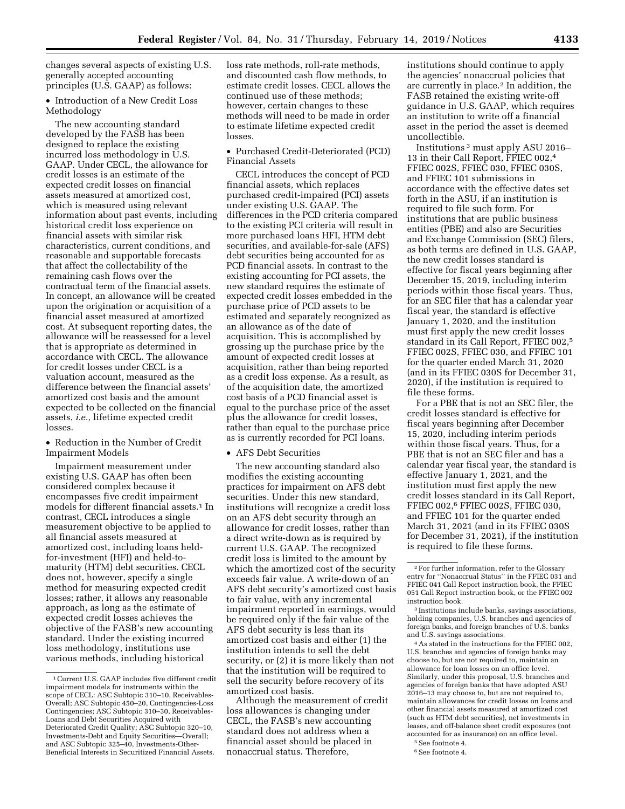changes several aspects of existing U.S. generally accepted accounting principles (U.S. GAAP) as follows:

• Introduction of a New Credit Loss Methodology

The new accounting standard developed by the FASB has been designed to replace the existing incurred loss methodology in U.S. GAAP. Under CECL, the allowance for credit losses is an estimate of the expected credit losses on financial assets measured at amortized cost, which is measured using relevant information about past events, including historical credit loss experience on financial assets with similar risk characteristics, current conditions, and reasonable and supportable forecasts that affect the collectability of the remaining cash flows over the contractual term of the financial assets. In concept, an allowance will be created upon the origination or acquisition of a financial asset measured at amortized cost. At subsequent reporting dates, the allowance will be reassessed for a level that is appropriate as determined in accordance with CECL. The allowance for credit losses under CECL is a valuation account, measured as the difference between the financial assets' amortized cost basis and the amount expected to be collected on the financial assets, *i.e.,* lifetime expected credit losses.

• Reduction in the Number of Credit Impairment Models

Impairment measurement under existing U.S. GAAP has often been considered complex because it encompasses five credit impairment models for different financial assets.<sup>1</sup> In contrast, CECL introduces a single measurement objective to be applied to all financial assets measured at amortized cost, including loans heldfor-investment (HFI) and held-tomaturity (HTM) debt securities. CECL does not, however, specify a single method for measuring expected credit losses; rather, it allows any reasonable approach, as long as the estimate of expected credit losses achieves the objective of the FASB's new accounting standard. Under the existing incurred loss methodology, institutions use various methods, including historical

loss rate methods, roll-rate methods, and discounted cash flow methods, to estimate credit losses. CECL allows the continued use of these methods; however, certain changes to these methods will need to be made in order to estimate lifetime expected credit losses.

• Purchased Credit-Deteriorated (PCD) Financial Assets

CECL introduces the concept of PCD financial assets, which replaces purchased credit-impaired (PCI) assets under existing U.S. GAAP. The differences in the PCD criteria compared to the existing PCI criteria will result in more purchased loans HFI, HTM debt securities, and available-for-sale (AFS) debt securities being accounted for as PCD financial assets. In contrast to the existing accounting for PCI assets, the new standard requires the estimate of expected credit losses embedded in the purchase price of PCD assets to be estimated and separately recognized as an allowance as of the date of acquisition. This is accomplished by grossing up the purchase price by the amount of expected credit losses at acquisition, rather than being reported as a credit loss expense. As a result, as of the acquisition date, the amortized cost basis of a PCD financial asset is equal to the purchase price of the asset plus the allowance for credit losses, rather than equal to the purchase price as is currently recorded for PCI loans.

#### • AFS Debt Securities

The new accounting standard also modifies the existing accounting practices for impairment on AFS debt securities. Under this new standard, institutions will recognize a credit loss on an AFS debt security through an allowance for credit losses, rather than a direct write-down as is required by current U.S. GAAP. The recognized credit loss is limited to the amount by which the amortized cost of the security exceeds fair value. A write-down of an AFS debt security's amortized cost basis to fair value, with any incremental impairment reported in earnings, would be required only if the fair value of the AFS debt security is less than its amortized cost basis and either (1) the institution intends to sell the debt security, or (2) it is more likely than not that the institution will be required to sell the security before recovery of its amortized cost basis.

Although the measurement of credit loss allowances is changing under CECL, the FASB's new accounting standard does not address when a financial asset should be placed in nonaccrual status. Therefore,

institutions should continue to apply the agencies' nonaccrual policies that are currently in place.2 In addition, the FASB retained the existing write-off guidance in U.S. GAAP, which requires an institution to write off a financial asset in the period the asset is deemed uncollectible.

Institutions 3 must apply ASU 2016– 13 in their Call Report, FFIEC 002,4 FFIEC 002S, FFIEC 030, FFIEC 030S, and FFIEC 101 submissions in accordance with the effective dates set forth in the ASU, if an institution is required to file such form. For institutions that are public business entities (PBE) and also are Securities and Exchange Commission (SEC) filers, as both terms are defined in U.S. GAAP, the new credit losses standard is effective for fiscal years beginning after December 15, 2019, including interim periods within those fiscal years. Thus, for an SEC filer that has a calendar year fiscal year, the standard is effective January 1, 2020, and the institution must first apply the new credit losses standard in its Call Report, FFIEC 002,5 FFIEC 002S, FFIEC 030, and FFIEC 101 for the quarter ended March 31, 2020 (and in its FFIEC 030S for December 31, 2020), if the institution is required to file these forms.

For a PBE that is not an SEC filer, the credit losses standard is effective for fiscal years beginning after December 15, 2020, including interim periods within those fiscal years. Thus, for a PBE that is not an SEC filer and has a calendar year fiscal year, the standard is effective January 1, 2021, and the institution must first apply the new credit losses standard in its Call Report, FFIEC 002,6 FFIEC 002S, FFIEC 030, and FFIEC 101 for the quarter ended March 31, 2021 (and in its FFIEC 030S for December 31, 2021), if the institution is required to file these forms.

4As stated in the instructions for the FFIEC 002, U.S. branches and agencies of foreign banks may choose to, but are not required to, maintain an allowance for loan losses on an office level. Similarly, under this proposal, U.S. branches and agencies of foreign banks that have adopted ASU 2016–13 may choose to, but are not required to, maintain allowances for credit losses on loans and other financial assets measured at amortized cost (such as HTM debt securities), net investments in leases, and off-balance sheet credit exposures (not accounted for as insurance) on an office level.

<sup>1</sup>Current U.S. GAAP includes five different credit impairment models for instruments within the scope of CECL: ASC Subtopic 310–10, Receivables-Overall; ASC Subtopic 450–20, Contingencies-Loss Contingencies; ASC Subtopic 310–30, Receivables-Loans and Debt Securities Acquired with Deteriorated Credit Quality; ASC Subtopic 320–10, Investments-Debt and Equity Securities—Overall; and ASC Subtopic 325–40, Investments-Other-Beneficial Interests in Securitized Financial Assets.

<sup>2</sup>For further information, refer to the Glossary entry for ''Nonaccrual Status'' in the FFIEC 031 and FFIEC 041 Call Report instruction book, the FFIEC 051 Call Report instruction book, or the FFIEC 002 instruction book.

<sup>3</sup> Institutions include banks, savings associations, holding companies, U.S. branches and agencies of foreign banks, and foreign branches of U.S. banks and U.S. savings associations.

<sup>5</sup>See footnote 4. 6See footnote 4.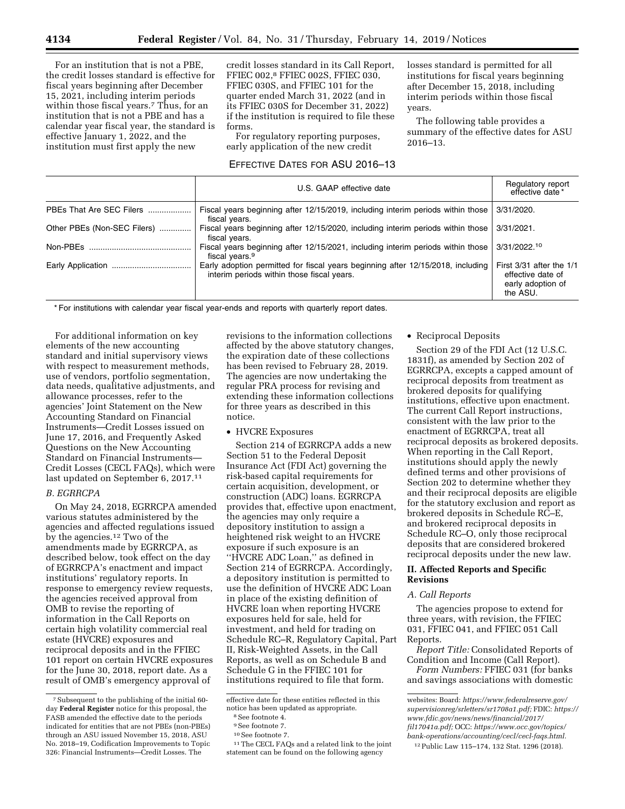For an institution that is not a PBE, the credit losses standard is effective for fiscal years beginning after December 15, 2021, including interim periods within those fiscal years.<sup>7</sup> Thus, for an institution that is not a PBE and has a calendar year fiscal year, the standard is effective January 1, 2022, and the institution must first apply the new

credit losses standard in its Call Report, FFIEC 002,8 FFIEC 002S, FFIEC 030, FFIEC 030S, and FFIEC 101 for the quarter ended March 31, 2022 (and in its FFIEC 030S for December 31, 2022) if the institution is required to file these forms.

For regulatory reporting purposes, early application of the new credit

# EFFECTIVE DATES FOR ASU 2016–13

losses standard is permitted for all institutions for fiscal years beginning after December 15, 2018, including interim periods within those fiscal years.

The following table provides a summary of the effective dates for ASU 2016–13.

|                             | U.S. GAAP effective date                                                                                                      | Regulatory report<br>effective date *                                              |
|-----------------------------|-------------------------------------------------------------------------------------------------------------------------------|------------------------------------------------------------------------------------|
| PBEs That Are SEC Filers    | Fiscal years beginning after 12/15/2019, including interim periods within those<br>fiscal years.                              | 3/31/2020.                                                                         |
| Other PBEs (Non-SEC Filers) | Fiscal years beginning after 12/15/2020, including interim periods within those<br>fiscal years.                              | 3/31/2021.                                                                         |
|                             | Fiscal years beginning after 12/15/2021, including interim periods within those<br>fiscal years. <sup>9</sup>                 | 3/31/2022.10                                                                       |
|                             | Early adoption permitted for fiscal years beginning after 12/15/2018, including<br>interim periods within those fiscal years. | First $3/31$ after the $1/1$<br>effective date of<br>early adoption of<br>the ASU. |

\* For institutions with calendar year fiscal year-ends and reports with quarterly report dates.

For additional information on key elements of the new accounting standard and initial supervisory views with respect to measurement methods, use of vendors, portfolio segmentation, data needs, qualitative adjustments, and allowance processes, refer to the agencies' Joint Statement on the New Accounting Standard on Financial Instruments—Credit Losses issued on June 17, 2016, and Frequently Asked Questions on the New Accounting Standard on Financial Instruments— Credit Losses (CECL FAQs), which were last updated on September 6, 2017.11

### *B. EGRRCPA*

On May 24, 2018, EGRRCPA amended various statutes administered by the agencies and affected regulations issued by the agencies.<sup>12</sup> Two of the amendments made by EGRRCPA, as described below, took effect on the day of EGRRCPA's enactment and impact institutions' regulatory reports. In response to emergency review requests, the agencies received approval from OMB to revise the reporting of information in the Call Reports on certain high volatility commercial real estate (HVCRE) exposures and reciprocal deposits and in the FFIEC 101 report on certain HVCRE exposures for the June 30, 2018, report date. As a result of OMB's emergency approval of

revisions to the information collections affected by the above statutory changes, the expiration date of these collections has been revised to February 28, 2019. The agencies are now undertaking the regular PRA process for revising and extending these information collections for three years as described in this notice.

• HVCRE Exposures

Section 214 of EGRRCPA adds a new Section 51 to the Federal Deposit Insurance Act (FDI Act) governing the risk-based capital requirements for certain acquisition, development, or construction (ADC) loans. EGRRCPA provides that, effective upon enactment, the agencies may only require a depository institution to assign a heightened risk weight to an HVCRE exposure if such exposure is an ''HVCRE ADC Loan,'' as defined in Section 214 of EGRRCPA. Accordingly, a depository institution is permitted to use the definition of HVCRE ADC Loan in place of the existing definition of HVCRE loan when reporting HVCRE exposures held for sale, held for investment, and held for trading on Schedule RC–R, Regulatory Capital, Part II, Risk-Weighted Assets, in the Call Reports, as well as on Schedule B and Schedule G in the FFIEC 101 for institutions required to file that form.

# • Reciprocal Deposits

Section 29 of the FDI Act (12 U.S.C. 1831f), as amended by Section 202 of EGRRCPA, excepts a capped amount of reciprocal deposits from treatment as brokered deposits for qualifying institutions, effective upon enactment. The current Call Report instructions, consistent with the law prior to the enactment of EGRRCPA, treat all reciprocal deposits as brokered deposits. When reporting in the Call Report, institutions should apply the newly defined terms and other provisions of Section 202 to determine whether they and their reciprocal deposits are eligible for the statutory exclusion and report as brokered deposits in Schedule RC–E, and brokered reciprocal deposits in Schedule RC–O, only those reciprocal deposits that are considered brokered reciprocal deposits under the new law.

# **II. Affected Reports and Specific Revisions**

### *A. Call Reports*

The agencies propose to extend for three years, with revision, the FFIEC 031, FFIEC 041, and FFIEC 051 Call Reports.

*Report Title:* Consolidated Reports of Condition and Income (Call Report).

*Form Numbers:* FFIEC 031 (for banks and savings associations with domestic

<sup>7</sup>Subsequent to the publishing of the initial 60 day **Federal Register** notice for this proposal, the FASB amended the effective date to the periods indicated for entities that are not PBEs (non-PBEs) through an ASU issued November 15, 2018, ASU No. 2018–19, Codification Improvements to Topic 326: Financial Instruments—Credit Losses. The

effective date for these entities reflected in this notice has been updated as appropriate.<br><sup>8</sup>See footnote 4.

<sup>9</sup>See footnote 7.

 $^{\rm 10}$  See footnote 7.

<sup>11</sup>The CECL FAQs and a related link to the joint statement can be found on the following agency

websites: Board: *[https://www.federalreserve.gov/](https://www.federalreserve.gov/supervisionreg/srletters/sr1708a1.pdf)  [supervisionreg/srletters/sr1708a1.pdf;](https://www.federalreserve.gov/supervisionreg/srletters/sr1708a1.pdf)* FDIC: *[https://](https://www.fdic.gov/news/news/financial/2017/fil17041a.pdf)  [www.fdic.gov/news/news/financial/2017/](https://www.fdic.gov/news/news/financial/2017/fil17041a.pdf)  [fil17041a.pdf;](https://www.fdic.gov/news/news/financial/2017/fil17041a.pdf)* OCC: *[https://www.occ.gov/topics/](https://www.occ.gov/topics/bank-operations/accounting/cecl/cecl-faqs.html)  [bank-operations/accounting/cecl/cecl-faqs.html.](https://www.occ.gov/topics/bank-operations/accounting/cecl/cecl-faqs.html)* 

<sup>12</sup>Public Law 115–174, 132 Stat. 1296 (2018).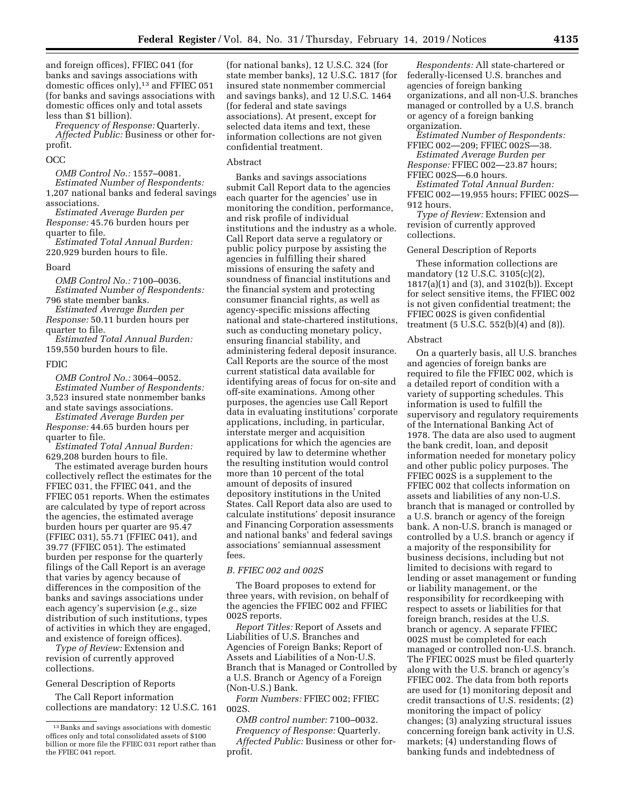and foreign offices), FFIEC 041 (for banks and savings associations with domestic offices only),<sup>13</sup> and FFIEC 051 (for banks and savings associations with domestic offices only and total assets less than \$1 billion).

*Frequency of Response:* Quarterly. *Affected Public:* Business or other forprofit.

#### OCC

*OMB Control No.:* 1557–0081. *Estimated Number of Respondents:*  1,207 national banks and federal savings

associations. *Estimated Average Burden per Response:* 45.76 burden hours per

quarter to file. *Estimated Total Annual Burden:* 

220,929 burden hours to file.

### Board

*OMB Control No.:* 7100–0036. *Estimated Number of Respondents:* 

796 state member banks. *Estimated Average Burden per Response:* 50.11 burden hours per quarter to file.

*Estimated Total Annual Burden:*  159,550 burden hours to file.

#### FDIC

*OMB Control No.:* 3064–0052. *Estimated Number of Respondents:*  3,523 insured state nonmember banks and state savings associations.

*Estimated Average Burden per Response:* 44.65 burden hours per quarter to file.

*Estimated Total Annual Burden:*  629,208 burden hours to file.

The estimated average burden hours collectively reflect the estimates for the FFIEC 031, the FFIEC 041, and the FFIEC 051 reports. When the estimates are calculated by type of report across the agencies, the estimated average burden hours per quarter are 95.47 (FFIEC 031), 55.71 (FFIEC 041), and 39.77 (FFIEC 051). The estimated burden per response for the quarterly filings of the Call Report is an average that varies by agency because of differences in the composition of the banks and savings associations under each agency's supervision (*e.g.,* size distribution of such institutions, types of activities in which they are engaged, and existence of foreign offices).

*Type of Review:* Extension and revision of currently approved collections.

#### General Description of Reports

The Call Report information collections are mandatory: 12 U.S.C. 161

(for national banks), 12 U.S.C. 324 (for state member banks), 12 U.S.C. 1817 (for insured state nonmember commercial and savings banks), and 12 U.S.C. 1464 (for federal and state savings associations). At present, except for selected data items and text, these information collections are not given confidential treatment.

### Abstract

Banks and savings associations submit Call Report data to the agencies each quarter for the agencies' use in monitoring the condition, performance, and risk profile of individual institutions and the industry as a whole. Call Report data serve a regulatory or public policy purpose by assisting the agencies in fulfilling their shared missions of ensuring the safety and soundness of financial institutions and the financial system and protecting consumer financial rights, as well as agency-specific missions affecting national and state-chartered institutions, such as conducting monetary policy, ensuring financial stability, and administering federal deposit insurance. Call Reports are the source of the most current statistical data available for identifying areas of focus for on-site and off-site examinations. Among other purposes, the agencies use Call Report data in evaluating institutions' corporate applications, including, in particular, interstate merger and acquisition applications for which the agencies are required by law to determine whether the resulting institution would control more than 10 percent of the total amount of deposits of insured depository institutions in the United States. Call Report data also are used to calculate institutions' deposit insurance and Financing Corporation assessments and national banks' and federal savings associations' semiannual assessment fees.

#### *B. FFIEC 002 and 002S*

The Board proposes to extend for three years, with revision, on behalf of the agencies the FFIEC 002 and FFIEC 002S reports.

*Report Titles:* Report of Assets and Liabilities of U.S. Branches and Agencies of Foreign Banks; Report of Assets and Liabilities of a Non-U.S. Branch that is Managed or Controlled by a U.S. Branch or Agency of a Foreign (Non-U.S.) Bank.

*Form Numbers:* FFIEC 002; FFIEC 002S.

*OMB control number:* 7100–0032. *Frequency of Response:* Quarterly. *Affected Public:* Business or other forprofit.

*Respondents:* All state-chartered or federally-licensed U.S. branches and agencies of foreign banking organizations, and all non-U.S. branches managed or controlled by a U.S. branch or agency of a foreign banking organization.

*Estimated Number of Respondents:*  FFIEC 002—209; FFIEC 002S—38.

*Estimated Average Burden per Response:* FFIEC 002—23.87 hours; FFIEC 002S—6.0 hours.

*Estimated Total Annual Burden:*  FFEIC 002—19,955 hours; FFIEC 002S—

912 hours.

*Type of Review:* Extension and revision of currently approved collections.

#### General Description of Reports

These information collections are mandatory (12 U.S.C. 3105(c)(2), 1817(a)(1) and (3), and 3102(b)). Except for select sensitive items, the FFIEC 002 is not given confidential treatment; the FFIEC 002S is given confidential treatment (5 U.S.C. 552(b)(4) and (8)).

#### Abstract

On a quarterly basis, all U.S. branches and agencies of foreign banks are required to file the FFIEC 002, which is a detailed report of condition with a variety of supporting schedules. This information is used to fulfill the supervisory and regulatory requirements of the International Banking Act of 1978. The data are also used to augment the bank credit, loan, and deposit information needed for monetary policy and other public policy purposes. The FFIEC 002S is a supplement to the FFIEC 002 that collects information on assets and liabilities of any non-U.S. branch that is managed or controlled by a U.S. branch or agency of the foreign bank. A non-U.S. branch is managed or controlled by a U.S. branch or agency if a majority of the responsibility for business decisions, including but not limited to decisions with regard to lending or asset management or funding or liability management, or the responsibility for recordkeeping with respect to assets or liabilities for that foreign branch, resides at the U.S. branch or agency. A separate FFIEC 002S must be completed for each managed or controlled non-U.S. branch. The FFIEC 002S must be filed quarterly along with the U.S. branch or agency's FFIEC 002. The data from both reports are used for (1) monitoring deposit and credit transactions of U.S. residents; (2) monitoring the impact of policy changes; (3) analyzing structural issues concerning foreign bank activity in U.S. markets; (4) understanding flows of banking funds and indebtedness of

<sup>13</sup>Banks and savings associations with domestic offices only and total consolidated assets of \$100 billion or more file the FFIEC 031 report rather than the FFIEC 041 report.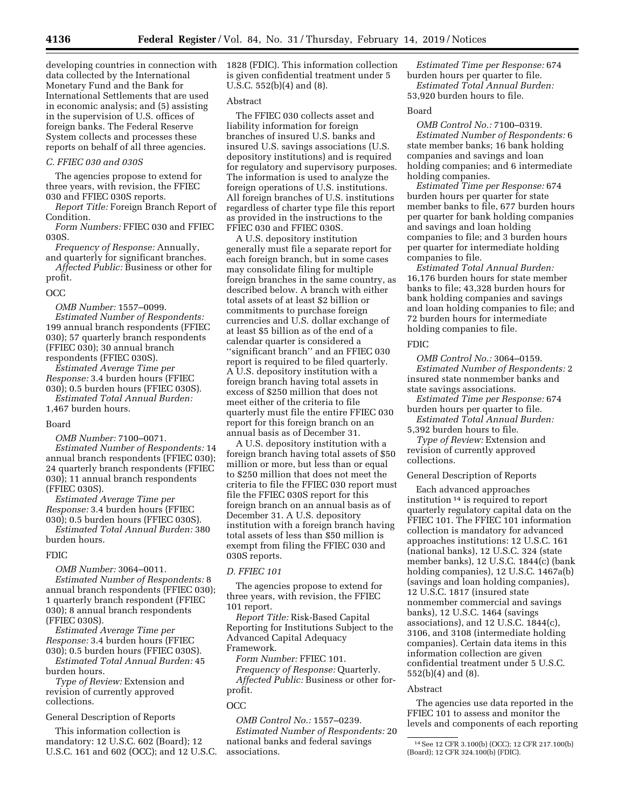data collected by the International Monetary Fund and the Bank for International Settlements that are used in economic analysis; and (5) assisting in the supervision of U.S. offices of foreign banks. The Federal Reserve System collects and processes these reports on behalf of all three agencies.

## *C. FFIEC 030 and 030S*

The agencies propose to extend for three years, with revision, the FFIEC 030 and FFIEC 030S reports.

*Report Title:* Foreign Branch Report of Condition.

*Form Numbers:* FFIEC 030 and FFIEC 030S.

*Frequency of Response:* Annually,

and quarterly for significant branches. *Affected Public:* Business or other for profit.

### OCC

*OMB Number:* 1557–0099. *Estimated Number of Respondents:*  199 annual branch respondents (FFIEC 030); 57 quarterly branch respondents (FFIEC 030); 30 annual branch respondents (FFIEC 030S).

*Estimated Average Time per Response:* 3.4 burden hours (FFIEC 030); 0.5 burden hours (FFIEC 030S).

*Estimated Total Annual Burden:*  1,467 burden hours.

#### Board

*OMB Number:* 7100–0071. *Estimated Number of Respondents:* 14 annual branch respondents (FFIEC 030); 24 quarterly branch respondents (FFIEC 030); 11 annual branch respondents (FFIEC 030S).

*Estimated Average Time per Response:* 3.4 burden hours (FFIEC 030); 0.5 burden hours (FFIEC 030S).

*Estimated Total Annual Burden:* 380 burden hours.

## FDIC

*OMB Number:* 3064–0011. *Estimated Number of Respondents:* 8 annual branch respondents (FFIEC 030); 1 quarterly branch respondent (FFIEC 030); 8 annual branch respondents (FFIEC 030S).

*Estimated Average Time per Response:* 3.4 burden hours (FFIEC 030); 0.5 burden hours (FFIEC 030S).

*Estimated Total Annual Burden:* 45 burden hours.

*Type of Review:* Extension and revision of currently approved collections.

General Description of Reports

This information collection is mandatory: 12 U.S.C. 602 (Board); 12 U.S.C. 161 and 602 (OCC); and 12 U.S.C.

developing countries in connection with 1828 (FDIC). This information collection is given confidential treatment under 5 U.S.C. 552(b)(4) and (8).

### Abstract

The FFIEC 030 collects asset and liability information for foreign branches of insured U.S. banks and insured U.S. savings associations (U.S. depository institutions) and is required for regulatory and supervisory purposes. The information is used to analyze the foreign operations of U.S. institutions. All foreign branches of U.S. institutions regardless of charter type file this report as provided in the instructions to the FFIEC 030 and FFIEC 030S.

A U.S. depository institution generally must file a separate report for each foreign branch, but in some cases may consolidate filing for multiple foreign branches in the same country, as described below. A branch with either total assets of at least \$2 billion or commitments to purchase foreign currencies and U.S. dollar exchange of at least \$5 billion as of the end of a calendar quarter is considered a ''significant branch'' and an FFIEC 030 report is required to be filed quarterly. A U.S. depository institution with a foreign branch having total assets in excess of \$250 million that does not meet either of the criteria to file quarterly must file the entire FFIEC 030 report for this foreign branch on an annual basis as of December 31.

A U.S. depository institution with a foreign branch having total assets of \$50 million or more, but less than or equal to \$250 million that does not meet the criteria to file the FFIEC 030 report must file the FFIEC 030S report for this foreign branch on an annual basis as of December 31. A U.S. depository institution with a foreign branch having total assets of less than \$50 million is exempt from filing the FFIEC 030 and 030S reports.

# *D. FFIEC 101*

The agencies propose to extend for three years, with revision, the FFIEC 101 report.

*Report Title:* Risk-Based Capital Reporting for Institutions Subject to the Advanced Capital Adequacy Framework.

*Form Number:* FFIEC 101. *Frequency of Response:* Quarterly.

*Affected Public:* Business or other forprofit.

# OCC

*OMB Control No.:* 1557–0239. *Estimated Number of Respondents:* 20 national banks and federal savings associations.

*Estimated Time per Response:* 674 burden hours per quarter to file. *Estimated Total Annual Burden:*  53,920 burden hours to file.

#### Board

*OMB Control No.:* 7100–0319. *Estimated Number of Respondents:* 6 state member banks; 16 bank holding companies and savings and loan holding companies; and 6 intermediate holding companies.

*Estimated Time per Response:* 674 burden hours per quarter for state member banks to file, 677 burden hours per quarter for bank holding companies and savings and loan holding companies to file; and 3 burden hours per quarter for intermediate holding companies to file.

*Estimated Total Annual Burden:*  16,176 burden hours for state member banks to file; 43,328 burden hours for bank holding companies and savings and loan holding companies to file; and 72 burden hours for intermediate holding companies to file.

#### FDIC

*OMB Control No.:* 3064–0159. *Estimated Number of Respondents:* 2 insured state nonmember banks and state savings associations.

*Estimated Time per Response:* 674 burden hours per quarter to file.

*Estimated Total Annual Burden:*  5,392 burden hours to file.

*Type of Review:* Extension and revision of currently approved collections.

General Description of Reports

Each advanced approaches institution 14 is required to report quarterly regulatory capital data on the FFIEC 101. The FFIEC 101 information collection is mandatory for advanced approaches institutions: 12 U.S.C. 161 (national banks), 12 U.S.C. 324 (state member banks), 12 U.S.C. 1844(c) (bank holding companies), 12 U.S.C. 1467a(b) (savings and loan holding companies), 12 U.S.C. 1817 (insured state nonmember commercial and savings banks), 12 U.S.C. 1464 (savings associations), and 12 U.S.C. 1844(c), 3106, and 3108 (intermediate holding companies). Certain data items in this information collection are given confidential treatment under 5 U.S.C. 552(b)(4) and (8).

#### Abstract

The agencies use data reported in the FFIEC 101 to assess and monitor the levels and components of each reporting